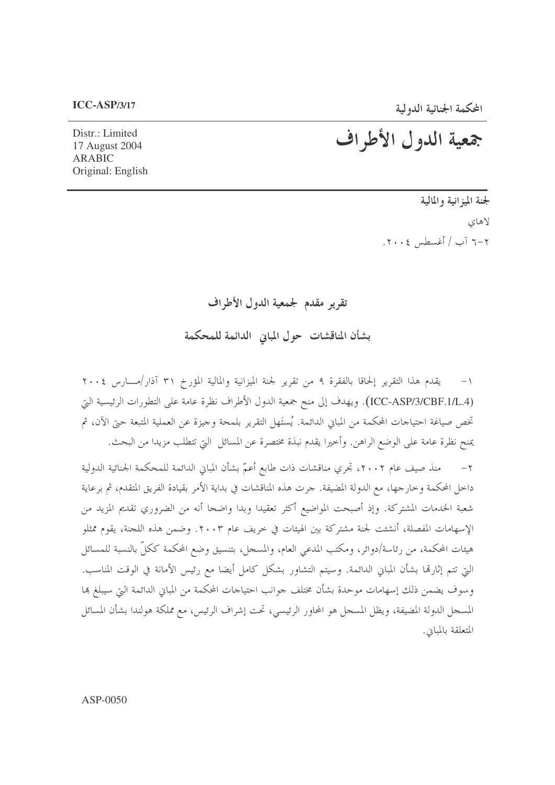المحكمة الجنائية الدولية

## جمعية الدول الأطراف

Distr.: Limited 17 August 2004 ARABIC Original: English

> لجنة الميزانية والمالية لاهاي ۲–۲ آب / أغسطس ۲۰۰٤.

تقرير مقدم لجمعية الدول الأطراف

بشأن المناقشات حول المباني الدائمة للمحكمة

١– يقدم هذا التقرير إلحاقا بالفقرة ٩ من تقرير لجنة الميزانية والمالية المؤرخ ٣١ آذار/مــــارس ٢٠٠٤ (ICC-ASP/3/CBF.1/L.4). ويهدف إلى منح جمعية الدول الأطراف نظرة عامة على التطورات الرئيسية التي تخص صياغة احتياحات المحكمة من المباني الدائمة. يُستَهل التقرير بلمحة وحيزة عن العملية المتبعة حتى الآن، ثم يمنح نظرة عامة على الوضع الراهن. وأخيرا يقدم نبذة مختصرة عن المسائل التي تتطلب مزيدا من البحث.

٢ – منذ صيف عام ٢٠٠٢، تحري مناقشات ذات طابع أعمّ بشأن المباني الدائمة للمحكمة الجنائية الدولية داخل المحكمة وخارجها، مع الدولة المضيفة. جرت هذه المناقشات في بداية الأمر بقيادة الفريق المتقدم، ثم برعاية شعبة الخدمات المشتركة. وإذ أصبحت المواضيع أكثر تعقيدا وبدا واضحا أنه من الضروري تقديم المزيد من الإسهامات المفصلة، أنشئت لجنة مشتركة بين الهيئات في خريف عام ٢٠٠٣. وضمن هذه اللجنة، يقوم ممثلو هيئات المحكمة، من رئاسة/دوائر، ومكتب المدعي العام، والمسحل، بتنسيق وضع المحكمة ككلّ بالنسبة للمسائل التي تتم إثارها بشأن المباني الدائمة. وسيتم التشاور بشكل كامل أيضا مع رئيس الأمانة في الوقت المناسب. وسوف يضمن ذلك إسهامات موحدة بشأن مختلف جوانب احتياحات المحكمة من المباني الدائمة التي سيبلغ ها المسحل الدولة المضيفة، ويظل المسحل هو المحاور الرئيسي، تحت إشراف الرئيس، مع مملكة هولندا بشأن المسائل المتعلقة بالمباني.

ASP-0050